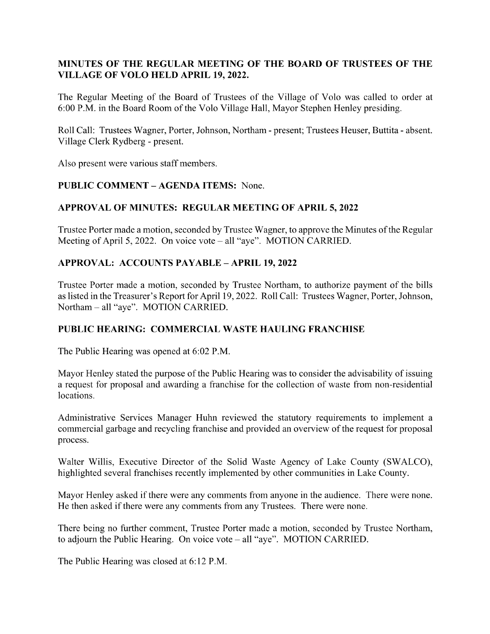## MINUTES OF THE REGULAR MEETING OF THE BOARD OF TRUSTEES OF THE VILLAGE OF VOLO HELD APRIL 19, 2022.

The Regular Meeting of the Board of Trustees of the Village of Volo was called to order at 6:00 P.M. in the Board Room of the Volo Village Hall, Mayor Stephen Henley presiding.

Roll Call: Trustees Wagner, Porter, Johnson, Northam - present; Trustees Heuser, Buttita - absent. Village Clerk Rydberg - present.

Also present were various staff members.

# PUBLIC COMMENT – AGENDA ITEMS: None.

# APPROVAL OF MINUTES: REGULAR MEETING OF APRIL 5, 2022

Trustee Porter made a motion, seconded by Trustee Wagner, to approve the Minutes of the Regular Meeting of April 5, 2022. On voice vote – all "aye". MOTION CARRIED.

## APPROVAL: ACCOUNTS PAYABLE – APRIL 19, 2022

Trustee Porter made a motion, seconded by Trustee Northam, to authorize payment of the bills as listed in the Treasurer's Report for April 19, 2022. Roll Call: Trustees Wagner, Porter, Johnson, Northam – all "aye". MOTION CARRIED.

## PUBLIC HEARING: COMMERCIAL WASTE HAULING FRANCHISE

The Public Hearing was opened at 6:02 P.M.

Mayor Henley stated the purpose of the Public Hearing was to consider the advisability of issuing a request for proposal and awarding a franchise for the collection of waste from non-residential locations.

Administrative Services Manager Huhn reviewed the statutory requirements to implement a commercial garbage and recycling franchise and provided an overview of the request for proposal process.

Walter Willis, Executive Director of the Solid Waste Agency of Lake County (SWALCO), highlighted several franchises recently implemented by other communities in Lake County.

Mayor Henley asked if there were any comments from anyone in the audience. There were none. He then asked if there were any comments from any Trustees. There were none.

There being no further comment, Trustee Porter made a motion, seconded by Trustee Northam, to adjourn the Public Hearing. On voice vote – all "aye". MOTION CARRIED.

The Public Hearing was closed at 6:12 P.M.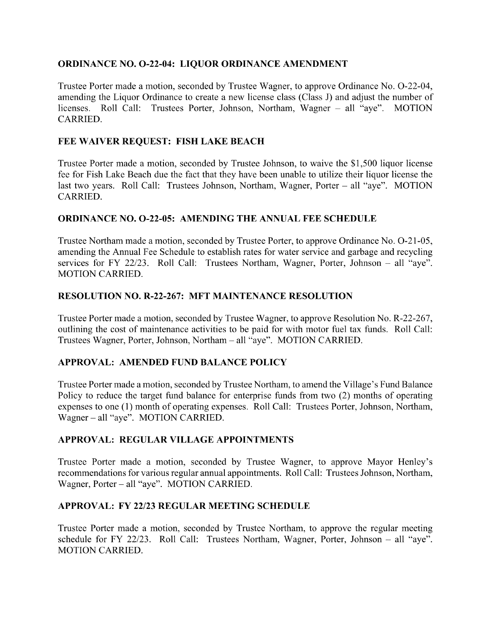### ORDINANCE NO. O-22-04: LIQUOR ORDINANCE AMENDMENT

Trustee Porter made a motion, seconded by Trustee Wagner, to approve Ordinance No. O-22-04, amending the Liquor Ordinance to create a new license class (Class J) and adjust the number of licenses. Roll Call: Trustees Porter, Johnson, Northam, Wagner – all "aye". MOTION CARRIED.

### FEE WAIVER REQUEST: FISH LAKE BEACH

Trustee Porter made a motion, seconded by Trustee Johnson, to waive the \$1,500 liquor license fee for Fish Lake Beach due the fact that they have been unable to utilize their liquor license the last two years. Roll Call: Trustees Johnson, Northam, Wagner, Porter – all "aye". MOTION CARRIED.

#### ORDINANCE NO. O-22-05: AMENDING THE ANNUAL FEE SCHEDULE

Trustee Northam made a motion, seconded by Trustee Porter, to approve Ordinance No. O-21-05, amending the Annual Fee Schedule to establish rates for water service and garbage and recycling services for FY 22/23. Roll Call: Trustees Northam, Wagner, Porter, Johnson – all "aye". MOTION CARRIED.

#### RESOLUTION NO. R-22-267: MFT MAINTENANCE RESOLUTION

Trustee Porter made a motion, seconded by Trustee Wagner, to approve Resolution No. R-22-267, outlining the cost of maintenance activities to be paid for with motor fuel tax funds. Roll Call: Trustees Wagner, Porter, Johnson, Northam – all " aye". MOTION CARRIED.

#### APPROVAL: AMENDED FUND BALANCE POLICY

Trustee Porter made a motion, seconded by Trustee Northam, to amend the Village's Fund Balance Policy to reduce the target fund balance for enterprise funds from two (2) months of operating expenses to one (1) month of operating expenses. Roll Call: Trustees Porter, Johnson, Northam, Wagner – all "aye". MOTION CARRIED.

#### APPROVAL: REGULAR VILLAGE APPOINTMENTS

Trustee Porter made a motion, seconded by Trustee Wagner, to approve Mayor Henley's recommendations for various regular annual appointments. Roll Call: Trustees Johnson, Northam, Wagner, Porter – all "aye". MOTION CARRIED.

#### APPROVAL: FY 22/23 REGULAR MEETING SCHEDULE

Trustee Porter made a motion, seconded by Trustee Northam, to approve the regular meeting schedule for FY 22/23. Roll Call: Trustees Northam, Wagner, Porter, Johnson – all "aye". MOTION CARRIED.